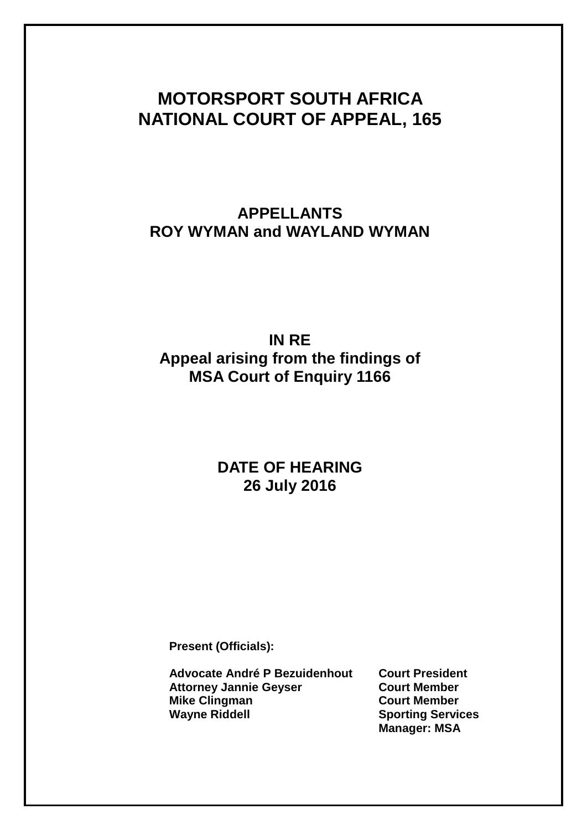# **MOTORSPORT SOUTH AFRICA NATIONAL COURT OF APPEAL, 165**

# **APPELLANTS ROY WYMAN and WAYLAND WYMAN**

# **IN RE Appeal arising from the findings of MSA Court of Enquiry 1166**

### **DATE OF HEARING 26 July 2016**

**Present (Officials):**

**Advocate André P Bezuidenhout Court President Attorney Jannie Geyser Court Member Mike Clingman Court Member Wayne Riddell Sporting Services**

**Manager: MSA**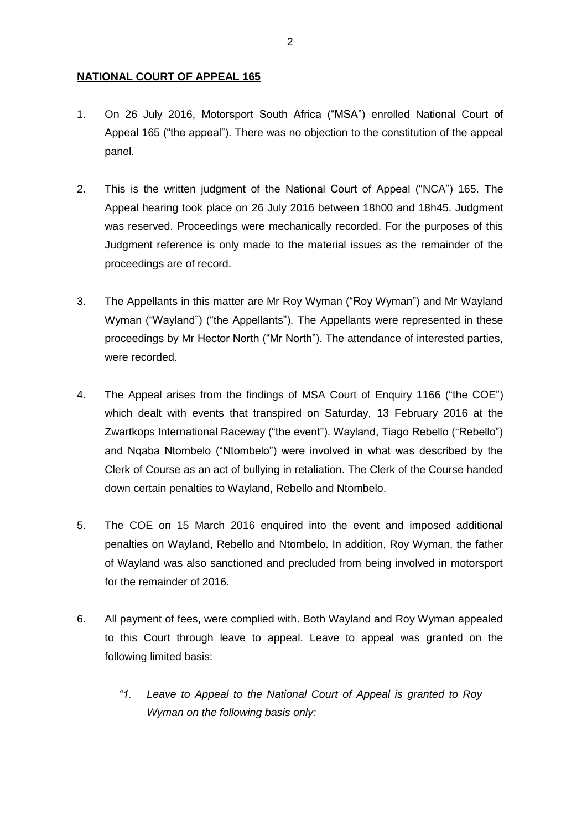#### **NATIONAL COURT OF APPEAL 165**

- 1. On 26 July 2016, Motorsport South Africa ("MSA") enrolled National Court of Appeal 165 ("the appeal"). There was no objection to the constitution of the appeal panel.
- 2. This is the written judgment of the National Court of Appeal ("NCA") 165. The Appeal hearing took place on 26 July 2016 between 18h00 and 18h45. Judgment was reserved. Proceedings were mechanically recorded. For the purposes of this Judgment reference is only made to the material issues as the remainder of the proceedings are of record.
- 3. The Appellants in this matter are Mr Roy Wyman ("Roy Wyman") and Mr Wayland Wyman ("Wayland") ("the Appellants"). The Appellants were represented in these proceedings by Mr Hector North ("Mr North"). The attendance of interested parties, were recorded.
- 4. The Appeal arises from the findings of MSA Court of Enquiry 1166 ("the COE") which dealt with events that transpired on Saturday, 13 February 2016 at the Zwartkops International Raceway ("the event"). Wayland, Tiago Rebello ("Rebello") and Nqaba Ntombelo ("Ntombelo") were involved in what was described by the Clerk of Course as an act of bullying in retaliation. The Clerk of the Course handed down certain penalties to Wayland, Rebello and Ntombelo.
- 5. The COE on 15 March 2016 enquired into the event and imposed additional penalties on Wayland, Rebello and Ntombelo. In addition, Roy Wyman, the father of Wayland was also sanctioned and precluded from being involved in motorsport for the remainder of 2016.
- 6. All payment of fees, were complied with. Both Wayland and Roy Wyman appealed to this Court through leave to appeal. Leave to appeal was granted on the following limited basis:
	- *"1. Leave to Appeal to the National Court of Appeal is granted to Roy Wyman on the following basis only:*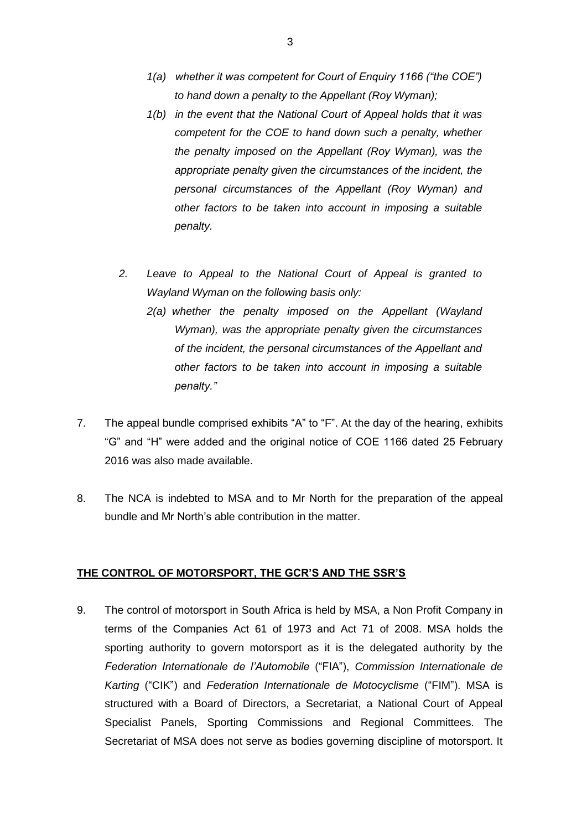- *1(a) whether it was competent for Court of Enquiry 1166 ("the COE") to hand down a penalty to the Appellant (Roy Wyman);*
- *1(b) in the event that the National Court of Appeal holds that it was competent for the COE to hand down such a penalty, whether the penalty imposed on the Appellant (Roy Wyman), was the appropriate penalty given the circumstances of the incident, the personal circumstances of the Appellant (Roy Wyman) and other factors to be taken into account in imposing a suitable penalty.*
- *2. Leave to Appeal to the National Court of Appeal is granted to Wayland Wyman on the following basis only:*
	- *2(a) whether the penalty imposed on the Appellant (Wayland Wyman), was the appropriate penalty given the circumstances of the incident, the personal circumstances of the Appellant and other factors to be taken into account in imposing a suitable penalty."*
- 7. The appeal bundle comprised exhibits "A" to "F". At the day of the hearing, exhibits "G" and "H" were added and the original notice of COE 1166 dated 25 February 2016 was also made available.
- 8. The NCA is indebted to MSA and to Mr North for the preparation of the appeal bundle and Mr North's able contribution in the matter.

### **THE CONTROL OF MOTORSPORT, THE GCR'S AND THE SSR'S**

9. The control of motorsport in South Africa is held by MSA, a Non Profit Company in terms of the Companies Act 61 of 1973 and Act 71 of 2008. MSA holds the sporting authority to govern motorsport as it is the delegated authority by the *Federation Internationale de l'Automobile* ("FIA"), *Commission Internationale de Karting* ("CIK") and *Federation Internationale de Motocyclisme* ("FIM"). MSA is structured with a Board of Directors, a Secretariat, a National Court of Appeal Specialist Panels, Sporting Commissions and Regional Committees. The Secretariat of MSA does not serve as bodies governing discipline of motorsport. It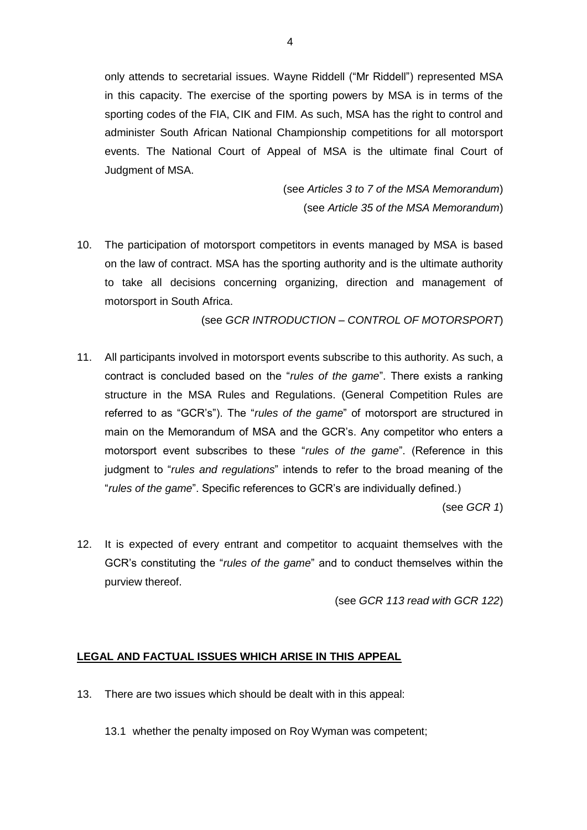only attends to secretarial issues. Wayne Riddell ("Mr Riddell") represented MSA in this capacity. The exercise of the sporting powers by MSA is in terms of the sporting codes of the FIA, CIK and FIM. As such, MSA has the right to control and administer South African National Championship competitions for all motorsport events. The National Court of Appeal of MSA is the ultimate final Court of Judgment of MSA.

> (see *Articles 3 to 7 of the MSA Memorandum*) (see *Article 35 of the MSA Memorandum*)

10. The participation of motorsport competitors in events managed by MSA is based on the law of contract. MSA has the sporting authority and is the ultimate authority to take all decisions concerning organizing, direction and management of motorsport in South Africa.

(see *GCR INTRODUCTION – CONTROL OF MOTORSPORT*)

11. All participants involved in motorsport events subscribe to this authority. As such, a contract is concluded based on the "*rules of the game*". There exists a ranking structure in the MSA Rules and Regulations. (General Competition Rules are referred to as "GCR's"). The "*rules of the game*" of motorsport are structured in main on the Memorandum of MSA and the GCR's. Any competitor who enters a motorsport event subscribes to these "*rules of the game*". (Reference in this judgment to "*rules and regulations*" intends to refer to the broad meaning of the "*rules of the game*". Specific references to GCR's are individually defined.)

(see *GCR 1*)

12. It is expected of every entrant and competitor to acquaint themselves with the GCR's constituting the "*rules of the game*" and to conduct themselves within the purview thereof.

(see *GCR 113 read with GCR 122*)

#### **LEGAL AND FACTUAL ISSUES WHICH ARISE IN THIS APPEAL**

- 13. There are two issues which should be dealt with in this appeal:
	- 13.1 whether the penalty imposed on Roy Wyman was competent;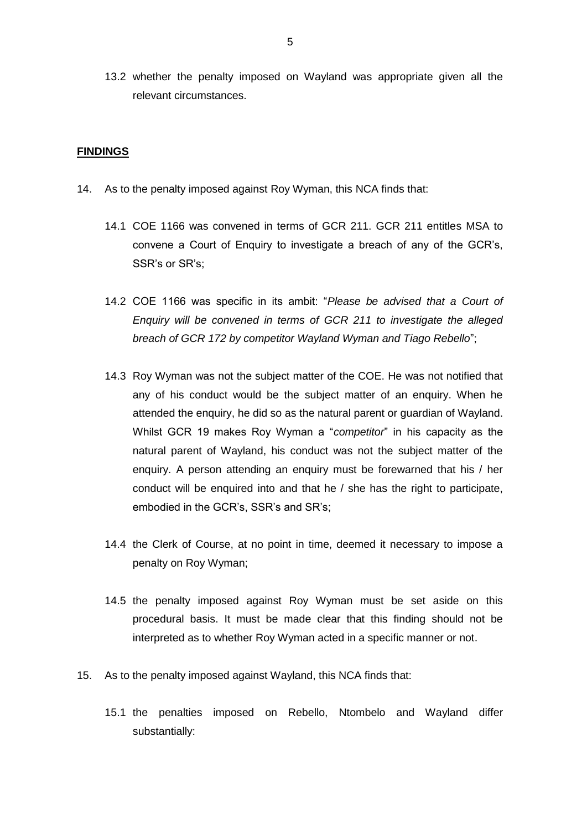13.2 whether the penalty imposed on Wayland was appropriate given all the relevant circumstances.

#### **FINDINGS**

- 14. As to the penalty imposed against Roy Wyman, this NCA finds that:
	- 14.1 COE 1166 was convened in terms of GCR 211. GCR 211 entitles MSA to convene a Court of Enquiry to investigate a breach of any of the GCR's, SSR's or SR's;
	- 14.2 COE 1166 was specific in its ambit: "*Please be advised that a Court of Enquiry will be convened in terms of GCR 211 to investigate the alleged breach of GCR 172 by competitor Wayland Wyman and Tiago Rebello*";
	- 14.3 Roy Wyman was not the subject matter of the COE. He was not notified that any of his conduct would be the subject matter of an enquiry. When he attended the enquiry, he did so as the natural parent or guardian of Wayland. Whilst GCR 19 makes Roy Wyman a "*competitor*" in his capacity as the natural parent of Wayland, his conduct was not the subject matter of the enquiry. A person attending an enquiry must be forewarned that his / her conduct will be enquired into and that he / she has the right to participate, embodied in the GCR's, SSR's and SR's;
	- 14.4 the Clerk of Course, at no point in time, deemed it necessary to impose a penalty on Roy Wyman;
	- 14.5 the penalty imposed against Roy Wyman must be set aside on this procedural basis. It must be made clear that this finding should not be interpreted as to whether Roy Wyman acted in a specific manner or not.
- 15. As to the penalty imposed against Wayland, this NCA finds that:
	- 15.1 the penalties imposed on Rebello, Ntombelo and Wayland differ substantially: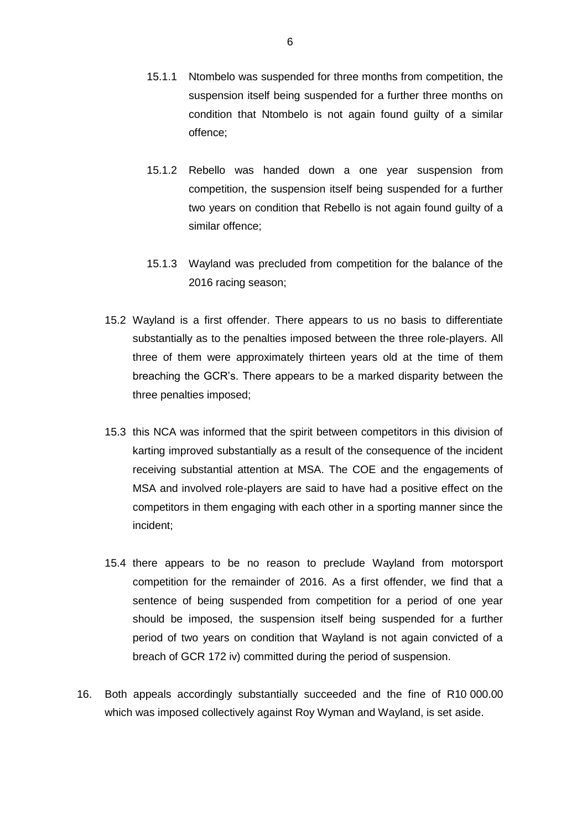- 15.1.1 Ntombelo was suspended for three months from competition, the suspension itself being suspended for a further three months on condition that Ntombelo is not again found guilty of a similar offence;
- 15.1.2 Rebello was handed down a one year suspension from competition, the suspension itself being suspended for a further two years on condition that Rebello is not again found guilty of a similar offence;
- 15.1.3 Wayland was precluded from competition for the balance of the 2016 racing season;
- 15.2 Wayland is a first offender. There appears to us no basis to differentiate substantially as to the penalties imposed between the three role-players. All three of them were approximately thirteen years old at the time of them breaching the GCR's. There appears to be a marked disparity between the three penalties imposed;
- 15.3 this NCA was informed that the spirit between competitors in this division of karting improved substantially as a result of the consequence of the incident receiving substantial attention at MSA. The COE and the engagements of MSA and involved role-players are said to have had a positive effect on the competitors in them engaging with each other in a sporting manner since the incident;
- 15.4 there appears to be no reason to preclude Wayland from motorsport competition for the remainder of 2016. As a first offender, we find that a sentence of being suspended from competition for a period of one year should be imposed, the suspension itself being suspended for a further period of two years on condition that Wayland is not again convicted of a breach of GCR 172 iv) committed during the period of suspension.
- 16. Both appeals accordingly substantially succeeded and the fine of R10 000.00 which was imposed collectively against Roy Wyman and Wayland, is set aside.